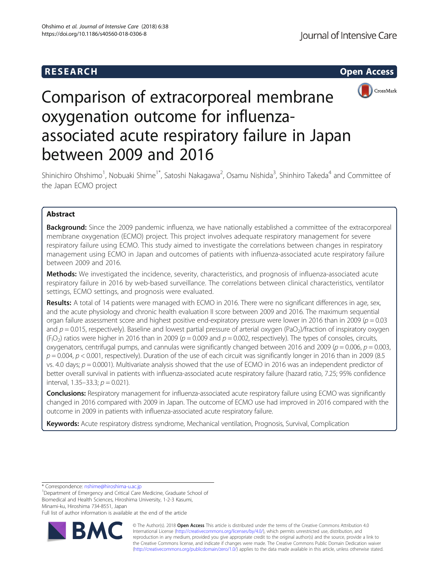# **RESEARCH CHEAR CHEAR CHEAR CHEAR CHEAR CHEAR CHEAR CHEAR CHEAR CHEAR CHEAR CHEAR CHEAR CHEAR CHEAR CHEAR CHEAR**



# Comparison of extracorporeal membrane oxygenation outcome for influenzaassociated acute respiratory failure in Japan between 2009 and 2016

Shinichiro Ohshimo<sup>1</sup>, Nobuaki Shime<sup>1\*</sup>, Satoshi Nakagawa<sup>2</sup>, Osamu Nishida<sup>3</sup>, Shinhiro Takeda<sup>4</sup> and Committee of the Japan ECMO project

# Abstract

**Background:** Since the 2009 pandemic influenza, we have nationally established a committee of the extracorporeal membrane oxygenation (ECMO) project. This project involves adequate respiratory management for severe respiratory failure using ECMO. This study aimed to investigate the correlations between changes in respiratory management using ECMO in Japan and outcomes of patients with influenza-associated acute respiratory failure between 2009 and 2016.

Methods: We investigated the incidence, severity, characteristics, and prognosis of influenza-associated acute respiratory failure in 2016 by web-based surveillance. The correlations between clinical characteristics, ventilator settings, ECMO settings, and prognosis were evaluated.

Results: A total of 14 patients were managed with ECMO in 2016. There were no significant differences in age, sex, and the acute physiology and chronic health evaluation II score between 2009 and 2016. The maximum sequential organ failure assessment score and highest positive end-expiratory pressure were lower in 2016 than in 2009 ( $p = 0.03$ ) and  $p = 0.015$ , respectively). Baseline and lowest partial pressure of arterial oxygen (PaO<sub>2</sub>)/fraction of inspiratory oxygen  $(F_1O_2)$  ratios were higher in 2016 than in 2009 ( $p = 0.009$  and  $p = 0.002$ , respectively). The types of consoles, circuits, oxygenators, centrifugal pumps, and cannulas were significantly changed between 2016 and 2009 ( $p = 0.006$ ,  $p = 0.003$ ,  $p = 0.004$ ,  $p < 0.001$ , respectively). Duration of the use of each circuit was significantly longer in 2016 than in 2009 (8.5) vs. 4.0 days;  $p = 0.0001$ ). Multivariate analysis showed that the use of ECMO in 2016 was an independent predictor of better overall survival in patients with influenza-associated acute respiratory failure (hazard ratio, 7.25; 95% confidence interval, 1.35–33.3;  $p = 0.021$ ).

Conclusions: Respiratory management for influenza-associated acute respiratory failure using ECMO was significantly changed in 2016 compared with 2009 in Japan. The outcome of ECMO use had improved in 2016 compared with the outcome in 2009 in patients with influenza-associated acute respiratory failure.

Keywords: Acute respiratory distress syndrome, Mechanical ventilation, Prognosis, Survival, Complication

\* Correspondence: [nshime@hiroshima-u.ac.jp](mailto:nshime@hiroshima-u.ac.jp) <sup>1</sup>

<sup>1</sup>Department of Emergency and Critical Care Medicine, Graduate School of Biomedical and Health Sciences, Hiroshima University, 1-2-3 Kasumi, Minami-ku, Hiroshima 734-8551, Japan

Full list of author information is available at the end of the article



© The Author(s). 2018 Open Access This article is distributed under the terms of the Creative Commons Attribution 4.0 International License [\(http://creativecommons.org/licenses/by/4.0/](http://creativecommons.org/licenses/by/4.0/)), which permits unrestricted use, distribution, and reproduction in any medium, provided you give appropriate credit to the original author(s) and the source, provide a link to the Creative Commons license, and indicate if changes were made. The Creative Commons Public Domain Dedication waiver [\(http://creativecommons.org/publicdomain/zero/1.0/](http://creativecommons.org/publicdomain/zero/1.0/)) applies to the data made available in this article, unless otherwise stated.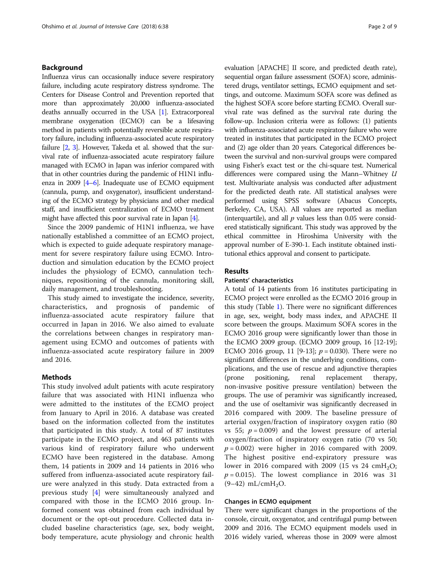# Background

Influenza virus can occasionally induce severe respiratory failure, including acute respiratory distress syndrome. The Centers for Disease Control and Prevention reported that more than approximately 20,000 influenza-associated deaths annually occurred in the USA [[1](#page-7-0)]. Extracorporeal membrane oxygenation (ECMO) can be a lifesaving method in patients with potentially reversible acute respiratory failure, including influenza-associated acute respiratory failure [\[2,](#page-7-0) [3](#page-7-0)]. However, Takeda et al. showed that the survival rate of influenza-associated acute respiratory failure managed with ECMO in Japan was inferior compared with that in other countries during the pandemic of H1N1 influenza in 2009  $[4-6]$  $[4-6]$  $[4-6]$  $[4-6]$ . Inadequate use of ECMO equipment (cannula, pump, and oxygenator), insufficient understanding of the ECMO strategy by physicians and other medical staff, and insufficient centralization of ECMO treatment might have affected this poor survival rate in Japan [\[4\]](#page-7-0).

Since the 2009 pandemic of H1N1 influenza, we have nationally established a committee of an ECMO project, which is expected to guide adequate respiratory management for severe respiratory failure using ECMO. Introduction and simulation education by the ECMO project includes the physiology of ECMO, cannulation techniques, repositioning of the cannula, monitoring skill, daily management, and troubleshooting.

This study aimed to investigate the incidence, severity, characteristics, and prognosis of pandemic of influenza-associated acute respiratory failure that occurred in Japan in 2016. We also aimed to evaluate the correlations between changes in respiratory management using ECMO and outcomes of patients with influenza-associated acute respiratory failure in 2009 and 2016.

# Methods

This study involved adult patients with acute respiratory failure that was associated with H1N1 influenza who were admitted to the institutes of the ECMO project from January to April in 2016. A database was created based on the information collected from the institutes that participated in this study. A total of 87 institutes participate in the ECMO project, and 463 patients with various kind of respiratory failure who underwent ECMO have been registered in the database. Among them, 14 patients in 2009 and 14 patients in 2016 who suffered from influenza-associated acute respiratory failure were analyzed in this study. Data extracted from a previous study [\[4](#page-7-0)] were simultaneously analyzed and compared with those in the ECMO 2016 group. Informed consent was obtained from each individual by document or the opt-out procedure. Collected data included baseline characteristics (age, sex, body weight, body temperature, acute physiology and chronic health evaluation [APACHE] II score, and predicted death rate), sequential organ failure assessment (SOFA) score, administered drugs, ventilator settings, ECMO equipment and settings, and outcome. Maximum SOFA score was defined as the highest SOFA score before starting ECMO. Overall survival rate was defined as the survival rate during the follow-up. Inclusion criteria were as follows: (1) patients with influenza-associated acute respiratory failure who were treated in institutes that participated in the ECMO project and (2) age older than 20 years. Categorical differences between the survival and non-survival groups were compared using Fisher's exact test or the chi-square test. Numerical differences were compared using the Mann–Whitney U test. Multivariate analysis was conducted after adjustment for the predicted death rate. All statistical analyses were performed using SPSS software (Abacus Concepts, Berkeley, CA, USA). All values are reported as median (interquartile), and all  $p$  values less than 0.05 were considered statistically significant. This study was approved by the ethical committee in Hiroshima University with the approval number of E-390-1. Each institute obtained institutional ethics approval and consent to participate.

# Results

# Patients' characteristics

A total of 14 patients from 16 institutes participating in ECMO project were enrolled as the ECMO 2016 group in this study (Table [1](#page-2-0)). There were no significant differences in age, sex, weight, body mass index, and APACHE II score between the groups. Maximum SOFA scores in the ECMO 2016 group were significantly lower than those in the ECMO 2009 group. (ECMO 2009 group, 16 [12-19]; ECMO 2016 group, 11 [9-13];  $p = 0.030$ ). There were no significant differences in the underlying conditions, complications, and the use of rescue and adjunctive therapies (prone positioning, renal replacement therapy, non-invasive positive pressure ventilation) between the groups. The use of peramivir was significantly increased, and the use of oseltamivir was significantly decreased in 2016 compared with 2009. The baseline pressure of arterial oxygen/fraction of inspiratory oxygen ratio (80 vs 55;  $p = 0.009$ ) and the lowest pressure of arterial oxygen/fraction of inspiratory oxygen ratio (70 vs 50;  $p = 0.002$ ) were higher in 2016 compared with 2009. The highest positive end-expiratory pressure was lower in 2016 compared with 2009 (15 vs 24  $\text{cm}H_2\text{O}$ ;  $p = 0.015$ ). The lowest compliance in 2016 was 31  $(9-42)$  mL/cmH<sub>2</sub>O.

# Changes in ECMO equipment

There were significant changes in the proportions of the console, circuit, oxygenator, and centrifugal pump between 2009 and 2016. The ECMO equipment models used in 2016 widely varied, whereas those in 2009 were almost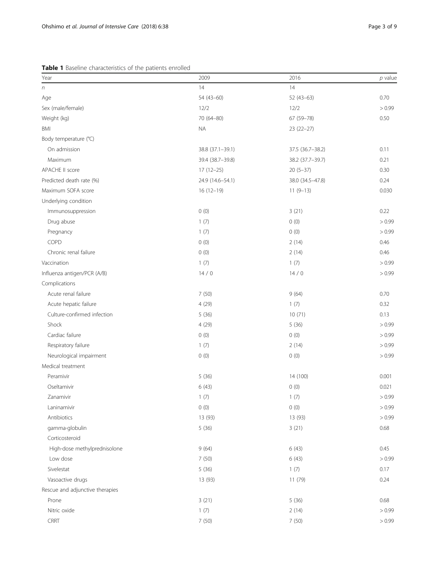<span id="page-2-0"></span>Table 1 Baseline characteristics of the patients enrolled

| Year                            | 2009             | 2016             | $p$ value |
|---------------------------------|------------------|------------------|-----------|
| $\sqrt{n}$                      | 14               | 14               |           |
| Age                             | 54 (43-60)       | 52 (43-63)       | 0.70      |
| Sex (male/female)               | 12/2             | 12/2             | > 0.99    |
| Weight (kg)                     | 70 (64-80)       | 67 (59-78)       | 0.50      |
| <b>BMI</b>                      | <b>NA</b>        | 23 (22-27)       |           |
| Body temperature (°C)           |                  |                  |           |
| On admission                    | 38.8 (37.1-39.1) | 37.5 (36.7-38.2) | 0.11      |
| Maximum                         | 39.4 (38.7-39.8) | 38.2 (37.7-39.7) | 0.21      |
| APACHE II score                 | $17(12-25)$      | $20(5-37)$       | 0.30      |
| Predicted death rate (%)        | 24.9 (14.6-54.1) | 38.0 (34.5-47.8) | 0.24      |
| Maximum SOFA score              | $16(12-19)$      | $11(9-13)$       | 0.030     |
| Underlying condition            |                  |                  |           |
| Immunosuppression               | 0(0)             | 3(21)            | 0.22      |
| Drug abuse                      | 1(7)             | 0(0)             | > 0.99    |
| Pregnancy                       | 1(7)             | 0(0)             | > 0.99    |
| COPD                            | 0(0)             | 2(14)            | 0.46      |
| Chronic renal failure           | 0(0)             | 2(14)            | 0.46      |
| Vaccination                     | 1(7)             | 1(7)             | > 0.99    |
| Influenza antigen/PCR (A/B)     | 14/0             | 14/0             | > 0.99    |
| Complications                   |                  |                  |           |
| Acute renal failure             | 7(50)            | 9(64)            | 0.70      |
| Acute hepatic failure           | 4(29)            | 1(7)             | 0.32      |
| Culture-confirmed infection     | 5(36)            | 10(71)           | 0.13      |
| Shock                           | 4(29)            | 5(36)            | > 0.99    |
| Cardiac failure                 | 0(0)             | 0(0)             | > 0.99    |
| Respiratory failure             | 1(7)             | 2(14)            | > 0.99    |
| Neurological impairment         | 0(0)             | 0(0)             | > 0.99    |
| Medical treatment               |                  |                  |           |
| Peramivir                       | 5(36)            | 14 (100)         | 0.001     |
| Oseltamivir                     | 6(43)            | 0(0)             | 0.021     |
| Zanamivir                       | 1(7)             | 1(7)             | > 0.99    |
| Laninamivir                     | 0(0)             | 0(0)             | > 0.99    |
| Antibiotics                     | 13 (93)          | 13 (93)          | > 0.99    |
| gamma-globulin                  | 5(36)            | 3(21)            | 0.68      |
| Corticosteroid                  |                  |                  |           |
| High-dose methylprednisolone    | 9(64)            | 6(43)            | 0.45      |
| Low dose                        | 7(50)            | 6(43)            | > 0.99    |
| Sivelestat                      | 5(36)            | 1(7)             | 0.17      |
| Vasoactive drugs                | 13 (93)          | 11 (79)          | 0.24      |
| Rescue and adjunctive therapies |                  |                  |           |
| Prone                           | 3(21)            | 5(36)            | 0.68      |
| Nitric oxide                    | 1(7)             | 2(14)            | > 0.99    |
| CRRT                            | 7(50)            | 7(50)            | > 0.99    |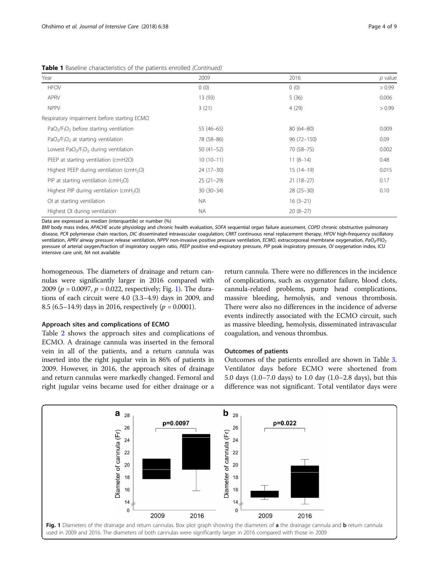| Year                                                                      | 2009        | 2016          | $p$ value |
|---------------------------------------------------------------------------|-------------|---------------|-----------|
| <b>HFOV</b>                                                               | 0(0)        | 0(0)          | > 0.99    |
| APRV                                                                      | 13 (93)     | 5(36)         | 0.006     |
| <b>NPPV</b>                                                               | 3(21)       | 4(29)         | > 0.99    |
| Respiratory impairment before starting ECMO                               |             |               |           |
| $PaO2/F1O2$ before starting ventilation                                   | $55(46-65)$ | $80(64 - 80)$ | 0.009     |
| $PaO2/F1O2$ at starting ventilation                                       | 78 (58-86)  | 96 (72-150)   | 0.09      |
| Lowest PaO <sub>2</sub> /F <sub>I</sub> O <sub>2</sub> during ventilation | $50(41-52)$ | 70 (58-75)    | 0.002     |
| PEEP at starting ventilation (cmH2O)                                      | $10(10-11)$ | $11(8-14)$    | 0.48      |
| Highest PEEP during ventilation ( $cmH2O$ )                               | $24(17-30)$ | $15(14-19)$   | 0.015     |
| PIP at starting ventilation ( $cmH2O$ )                                   | $25(21-29)$ | $21(18-27)$   | 0.17      |
| Highest PIP during ventilation (cmH <sub>2</sub> O)                       | $30(30-34)$ | $28(25-30)$   | 0.10      |
| Ol at starting ventilation                                                | <b>NA</b>   | $16(3-21)$    |           |
| Highest OI during ventilation                                             | <b>NA</b>   | $20(8-27)$    |           |

Table 1 Baseline characteristics of the patients enrolled (Continued)

Data are expressed as median (interquartile) or number (%)

BMI body mass index, APACHE acute physiology and chronic health evaluation, SOFA sequential organ failure assessment, COPD chronic obstructive pulmonary disease, PCR polymerase chain reaction, DIC disseminated intravascular coagulation; CRRT continuous renal replacement therapy, HFOV high-frequency oscillatory ventilation, APRV airway pressure release ventilation, NPPV non-invasive positive pressure ventilation, ECMO, extracorporeal membrane oxygenation, PaO<sub>2</sub>/FIO<sub>2</sub> pressure of arterial oxygen/fraction of inspiratory oxygen ratio, PEEP positive end-expiratory pressure, PIP peak inspiratory pressure, OI oxygenation index, ICU intensive care unit, NA not available

homogeneous. The diameters of drainage and return cannulas were significantly larger in 2016 compared with 2009 ( $p = 0.0097$ ,  $p = 0.022$ , respectively; Fig. 1). The durations of each circuit were 4.0 (3.3–4.9) days in 2009, and 8.5 (6.5–14.9) days in 2016, respectively ( $p = 0.0001$ ).

## Approach sites and complications of ECMO

Table [2](#page-4-0) shows the approach sites and complications of ECMO. A drainage cannula was inserted in the femoral vein in all of the patients, and a return cannula was inserted into the right jugular vein in 86% of patients in 2009. However, in 2016, the approach sites of drainage and return cannulas were markedly changed. Femoral and right jugular veins became used for either drainage or a

return cannula. There were no differences in the incidence of complications, such as oxygenator failure, blood clots, cannula-related problems, pump head complications, massive bleeding, hemolysis, and venous thrombosis. There were also no differences in the incidence of adverse events indirectly associated with the ECMO circuit, such as massive bleeding, hemolysis, disseminated intravascular coagulation, and venous thrombus.

# Outcomes of patients

Outcomes of the patients enrolled are shown in Table [3](#page-4-0). Ventilator days before ECMO were shortened from 5.0 days (1.0–7.0 days) to 1.0 day (1.0–2.8 days), but this difference was not significant. Total ventilator days were

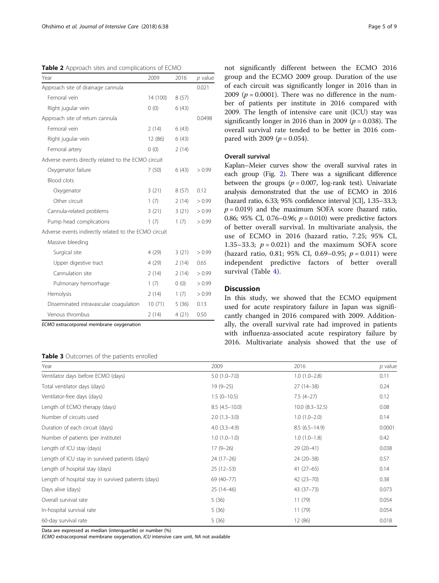<span id="page-4-0"></span>Table 2 Approach sites and complications of ECMO

| Year                                                  | 2009     | 2016  | $p$ value |
|-------------------------------------------------------|----------|-------|-----------|
| Approach site of drainage cannula                     |          |       | 0.021     |
| Femoral vein                                          | 14 (100) | 8(57) |           |
| Right jugular vein                                    | 0(0)     | 6(43) |           |
| Approach site of return cannula                       |          |       | 0.0498    |
| Femoral vein                                          | 2(14)    | 6(43) |           |
| Right jugular vein                                    | 12 (86)  | 6(43) |           |
| Femoral artery                                        | (0)      | 2(14) |           |
| Adverse events directly related to the ECMO circuit   |          |       |           |
| Oxygenator failure                                    | 7(50)    | 6(43) | > 0.99    |
| Blood clots                                           |          |       |           |
| Oxygenator                                            | 3(21)    | 8(57) | 0.12      |
| Other circuit                                         | 1(7)     | 2(14) | > 0.99    |
| Cannula-related problems                              | 3(21)    | 3(21) | > 0.99    |
| Pump head complications                               | 1(7)     | 1(7)  | > 0.99    |
| Adverse events indirectly related to the ECMO circuit |          |       |           |
| Massive bleeding                                      |          |       |           |
| Surgical site                                         | 4 (29)   | 3(21) | > 0.99    |
| Upper digestive tract                                 | 4 (29)   | 2(14) | 0.65      |
| Cannulation site                                      | 2(14)    | 2(14) | > 0.99    |
| Pulmonary hemorrhage                                  | 1(7)     | (0)   | > 0.99    |
| Hemolysis                                             | 2(14)    | 1(7)  | > 0.99    |
| Disseminated intravascular coagulation                | 10(71)   | 5(36) | 0.13      |
| Venous thrombus                                       | 2(14)    | 4(21) | 0.50      |

ECMO extracorporeal membrane oxygenation

# Table 3 Outcomes of the patients enrolled

not significantly different between the ECMO 2016 group and the ECMO 2009 group. Duration of the use of each circuit was significantly longer in 2016 than in 2009 ( $p = 0.0001$ ). There was no difference in the number of patients per institute in 2016 compared with 2009. The length of intensive care unit (ICU) stay was significantly longer in 2016 than in 2009 ( $p = 0.038$ ). The overall survival rate tended to be better in 2016 compared with 2009 ( $p = 0.054$ ).

# Overall survival

Kaplan–Meier curves show the overall survival rates in each group (Fig. [2](#page-5-0)). There was a significant difference between the groups ( $p = 0.007$ , log-rank test). Univariate analysis demonstrated that the use of ECMO in 2016 (hazard ratio, 6.33; 95% confidence interval [CI], 1.35–33.3;  $p = 0.019$ ) and the maximum SOFA score (hazard ratio, 0.86; 95% CI, 0.76–0.96;  $p = 0.010$ ) were predictive factors of better overall survival. In multivariate analysis, the use of ECMO in 2016 (hazard ratio, 7.25; 95% CI, 1.35–33.3;  $p = 0.021$  and the maximum SOFA score (hazard ratio, 0.81; 95% CI, 0.69–0.95;  $p = 0.011$ ) were independent predictive factors of better overall survival (Table [4\)](#page-5-0).

# Discussion

In this study, we showed that the ECMO equipment used for acute respiratory failure in Japan was significantly changed in 2016 compared with 2009. Additionally, the overall survival rate had improved in patients with influenza-associated acute respiratory failure by 2016. Multivariate analysis showed that the use of

| Year                                                | 2009             | 2016                | $p$ value |
|-----------------------------------------------------|------------------|---------------------|-----------|
| Ventilator days before ECMO (days)                  | $5.0(1.0 - 7.0)$ | $1.0(1.0-2.8)$      | 0.11      |
| Total ventilator days (days)                        | $19(9-25)$       | $27(14-38)$         | 0.24      |
| Ventilator-free days (days)                         | $1.5(0-10.5)$    | $7.5(4-27)$         | 0.12      |
| Length of ECMO therapy (days)                       | $8.5(4.5-10.0)$  | $10.0 (8.3 - 32.5)$ | 0.08      |
| Number of circuits used                             | $2.0(1.3-3.0)$   | $1.0(1.0-2.0)$      | 0.14      |
| Duration of each circuit (days)                     | $4.0(3.3-4.9)$   | $8.5(6.5 - 14.9)$   | 0.0001    |
| Number of patients (per institute)                  | $1.0(1.0-1.0)$   | $1.0(1.0-1.8)$      | 0.42      |
| Length of ICU stay (days)                           | $17(9-26)$       | 29 (20-41)          | 0.038     |
| Length of ICU stay in survived patients (days)      | $24(17-26)$      | 24 (20-38)          | 0.57      |
| Length of hospital stay (days)                      | $25(12-53)$      | $41(27-65)$         | 0.14      |
| Length of hospital stay in survived patients (days) | 69 (40-77)       | $42(23 - 70)$       | 0.38      |
| Days alive (days)                                   | $25(14-46)$      | 43 (37 - 73)        | 0.073     |
| Overall survival rate                               | 5(36)            | 11(79)              | 0.054     |
| In-hospital survival rate                           | 5(36)            | 11(79)              | 0.054     |
| 60-day survival rate                                | 5(36)            | 12 (86)             | 0.018     |

Data are expressed as median (interquartile) or number (%)

ECMO extracorporeal membrane oxygenation, ICU intensive care unit, NA not available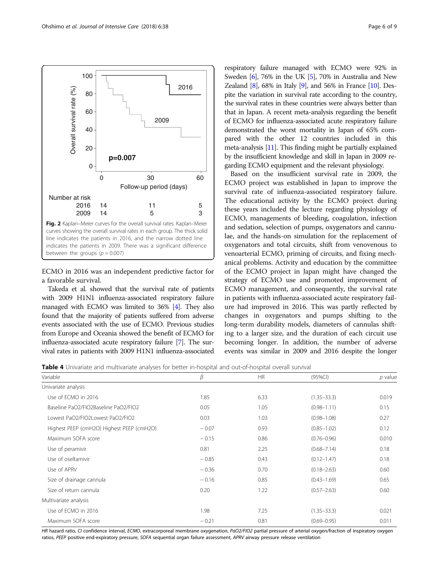<span id="page-5-0"></span>

ECMO in 2016 was an independent predictive factor for a favorable survival.

Takeda et al. showed that the survival rate of patients with 2009 H1N1 influenza-associated respiratory failure managed with ECMO was limited to 36% [\[4\]](#page-7-0). They also found that the majority of patients suffered from adverse events associated with the use of ECMO. Previous studies from Europe and Oceania showed the benefit of ECMO for influenza-associated acute respiratory failure [[7](#page-7-0)]. The survival rates in patients with 2009 H1N1 influenza-associated

respiratory failure managed with ECMO were 92% in Sweden [\[6\]](#page-7-0), 76% in the UK [\[5\]](#page-7-0), 70% in Australia and New Zealand [\[8\]](#page-7-0), 68% in Italy [[9](#page-7-0)], and 56% in France [\[10\]](#page-7-0). Despite the variation in survival rate according to the country, the survival rates in these countries were always better than that in Japan. A recent meta-analysis regarding the benefit of ECMO for influenza-associated acute respiratory failure demonstrated the worst mortality in Japan of 65% compared with the other 12 countries included in this meta-analysis [\[11](#page-7-0)]. This finding might be partially explained by the insufficient knowledge and skill in Japan in 2009 regarding ECMO equipment and the relevant physiology.

Based on the insufficient survival rate in 2009, the ECMO project was established in Japan to improve the survival rate of influenza-associated respiratory failure. The educational activity by the ECMO project during these years included the lecture regarding physiology of ECMO, managements of bleeding, coagulation, infection and sedation, selection of pumps, oxygenators and cannulae, and the hands-on simulation for the replacement of oxygenators and total circuits, shift from venovenous to venoarterial ECMO, priming of circuits, and fixing mechanical problems. Activity and education by the committee of the ECMO project in Japan might have changed the strategy of ECMO use and promoted improvement of ECMO management, and consequently, the survival rate in patients with influenza-associated acute respiratory failure had improved in 2016. This was partly reflected by changes in oxygenators and pumps shifting to the long-term durability models, diameters of cannulas shifting to a larger size, and the duration of each circuit use becoming longer. In addition, the number of adverse events was similar in 2009 and 2016 despite the longer

Table 4 Univariate and multivariate analyses for better in-hospital and out-of-hospital overall survival

| Variable                                  | β       | <b>HR</b> | $(95\%CI)$      | p value |
|-------------------------------------------|---------|-----------|-----------------|---------|
| Univariate analysis                       |         |           |                 |         |
| Use of ECMO in 2016                       | 1.85    | 6.33      | $(1.35 - 33.3)$ | 0.019   |
| Baseline PaO2/FIO2Baseline PaO2/FIO2      | 0.05    | 1.05      | $(0.98 - 1.11)$ | 0.15    |
| Lowest PaO2/FIO2Lowest PaO2/FIO2          | 0.03    | 1.03      | $(0.98 - 1.08)$ | 0.27    |
| Highest PEEP (cmH2O) Highest PEEP (cmH2O) | $-0.07$ | 0.93      | $(0.85 - 1.02)$ | 0.12    |
| Maximum SOFA score                        | $-0.15$ | 0.86      | $(0.76 - 0.96)$ | 0.010   |
| Use of peramivir                          | 0.81    | 2.25      | $(0.68 - 7.14)$ | 0.18    |
| Use of oseltamivir                        | $-0.85$ | 0.43      | $(0.12 - 1.47)$ | 0.18    |
| Use of APRV                               | $-0.36$ | 0.70      | $(0.18 - 2.63)$ | 0.60    |
| Size of drainage cannula                  | $-0.16$ | 0.85      | $(0.43 - 1.69)$ | 0.65    |
| Size of return cannula                    | 0.20    | 1.22      | $(0.57 - 2.63)$ | 0.60    |
| Multivariate analysis                     |         |           |                 |         |
| Use of ECMO in 2016                       | 1.98    | 7.25      | $(1.35 - 33.3)$ | 0.021   |
| Maximum SOFA score                        | $-0.21$ | 0.81      | $(0.69 - 0.95)$ | 0.011   |

HR hazard ratio, CI confidence interval, ECMO, extracorporeal membrane oxygenation, PaO2/FIO2 partial pressure of arterial oxygen/fraction of inspiratory oxygen ratios, PEEP positive end-expiratory pressure, SOFA sequential organ failure assessment, APRV airway pressure release ventilation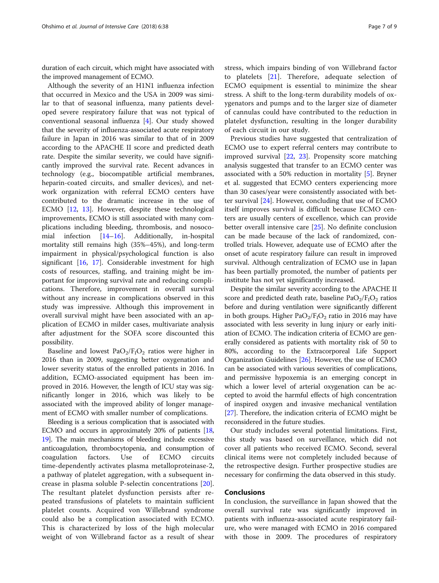duration of each circuit, which might have associated with the improved management of ECMO.

Although the severity of an H1N1 influenza infection that occurred in Mexico and the USA in 2009 was similar to that of seasonal influenza, many patients developed severe respiratory failure that was not typical of conventional seasonal influenza [\[4](#page-7-0)]. Our study showed that the severity of influenza-associated acute respiratory failure in Japan in 2016 was similar to that of in 2009 according to the APACHE II score and predicted death rate. Despite the similar severity, we could have significantly improved the survival rate. Recent advances in technology (e.g., biocompatible artificial membranes, heparin-coated circuits, and smaller devices), and network organization with referral ECMO centers have contributed to the dramatic increase in the use of ECMO [\[12](#page-7-0), [13](#page-7-0)]. However, despite these technological improvements, ECMO is still associated with many complications including bleeding, thrombosis, and nosocomial infection [[14](#page-7-0)–[16](#page-7-0)]. Additionally, in-hospital mortality still remains high (35%–45%), and long-term impairment in physical/psychological function is also significant  $[16, 17]$  $[16, 17]$  $[16, 17]$ . Considerable investment for high costs of resources, staffing, and training might be important for improving survival rate and reducing complications. Therefore, improvement in overall survival without any increase in complications observed in this study was impressive. Although this improvement in overall survival might have been associated with an application of ECMO in milder cases, multivariate analysis after adjustment for the SOFA score discounted this possibility.

Baseline and lowest  $PaO<sub>2</sub>/F<sub>I</sub>O<sub>2</sub>$  ratios were higher in 2016 than in 2009, suggesting better oxygenation and lower severity status of the enrolled patients in 2016. In addition, ECMO-associated equipment has been improved in 2016. However, the length of ICU stay was significantly longer in 2016, which was likely to be associated with the improved ability of longer management of ECMO with smaller number of complications.

Bleeding is a serious complication that is associated with ECMO and occurs in approximately 20% of patients [\[18](#page-8-0), [19](#page-8-0)]. The main mechanisms of bleeding include excessive anticoagulation, thrombocytopenia, and consumption of coagulation factors. Use of ECMO circuits time-dependently activates plasma metalloproteinase-2, a pathway of platelet aggregation, with a subsequent increase in plasma soluble P-selectin concentrations [\[20](#page-8-0)]. The resultant platelet dysfunction persists after repeated transfusions of platelets to maintain sufficient platelet counts. Acquired von Willebrand syndrome could also be a complication associated with ECMO. This is characterized by loss of the high molecular weight of von Willebrand factor as a result of shear stress, which impairs binding of von Willebrand factor to platelets [[21\]](#page-8-0). Therefore, adequate selection of ECMO equipment is essential to minimize the shear stress. A shift to the long-term durability models of oxygenators and pumps and to the larger size of diameter of cannulas could have contributed to the reduction in platelet dysfunction, resulting in the longer durability

of each circuit in our study.

Previous studies have suggested that centralization of ECMO use to expert referral centers may contribute to improved survival [\[22](#page-8-0), [23](#page-8-0)]. Propensity score matching analysis suggested that transfer to an ECMO center was associated with a 50% reduction in mortality [\[5](#page-7-0)]. Bryner et al. suggested that ECMO centers experiencing more than 30 cases/year were consistently associated with better survival [[24](#page-8-0)]. However, concluding that use of ECMO itself improves survival is difficult because ECMO centers are usually centers of excellence, which can provide better overall intensive care [[25\]](#page-8-0). No definite conclusion can be made because of the lack of randomized, controlled trials. However, adequate use of ECMO after the onset of acute respiratory failure can result in improved survival. Although centralization of ECMO use in Japan has been partially promoted, the number of patients per institute has not yet significantly increased.

Despite the similar severity according to the APACHE II score and predicted death rate, baseline  $PaO<sub>2</sub>/F<sub>1</sub>O<sub>2</sub>$  ratios before and during ventilation were significantly different in both groups. Higher  $PaO<sub>2</sub>/F<sub>I</sub>O<sub>2</sub>$  ratio in 2016 may have associated with less severity in lung injury or early initiation of ECMO. The indication criteria of ECMO are generally considered as patients with mortality risk of 50 to 80%, according to the Extracorporeal Life Support Organization Guidelines [[26\]](#page-8-0). However, the use of ECMO can be associated with various severities of complications, and permissive hypoxemia is an emerging concept in which a lower level of arterial oxygenation can be accepted to avoid the harmful effects of high concentration of inspired oxygen and invasive mechanical ventilation [[27](#page-8-0)]. Therefore, the indication criteria of ECMO might be reconsidered in the future studies.

Our study includes several potential limitations. First, this study was based on surveillance, which did not cover all patients who received ECMO. Second, several clinical items were not completely included because of the retrospective design. Further prospective studies are necessary for confirming the data observed in this study.

# Conclusions

In conclusion, the surveillance in Japan showed that the overall survival rate was significantly improved in patients with influenza-associated acute respiratory failure, who were managed with ECMO in 2016 compared with those in 2009. The procedures of respiratory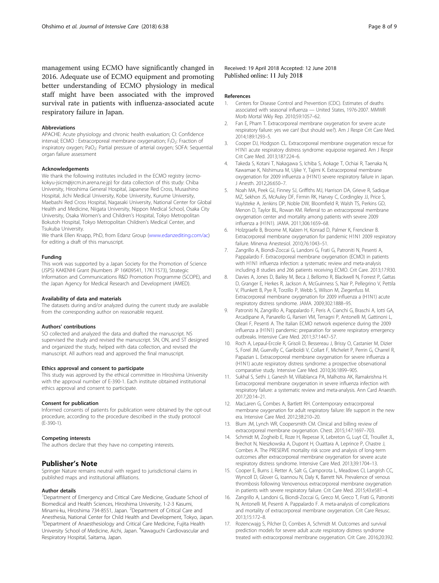<span id="page-7-0"></span>management using ECMO have significantly changed in 2016. Adequate use of ECMO equipment and promoting better understanding of ECMO physiology in medical staff might have been associated with the improved survival rate in patients with influenza-associated acute respiratory failure in Japan.

#### **Abbreviations**

APACHE: Acute physiology and chronic health evaluation; CI: Confidence interval; ECMO : Extracorporeal membrane oxygenation; F<sub>I</sub>O<sub>2</sub>: Fraction of inspiratory oxygen; PaO<sub>2</sub>: Partial pressure of arterial oxygen; SOFA: Sequential organ failure assessment

#### Acknowledgements

We thank the following institutes included in the ECMO registry (ecmokokyu-jsicm@jrcm.in.arena.ne.jp) for data collection of this study: Chiba University, Hiroshima General Hospital, Japanese Red Cross, Musashino Hospital, Jichi Medical University, Kobe University, Kurume University, Maebashi Red Cross Hospital, Nagasaki University, National Center for Global Health and Medicine, Niigata University, Nippon Medical School, Osaka City University, Osaka Women's and Children's Hospital, Tokyo Metropolitan Bokutoh Hospital, Tokyo Metropolitan Children's Medical Center, and Tsukuba University.

We thank Ellen Knapp, PhD, from Edanz Group [\(www.edanzediting.com/ac\)](http://www.edanzediting.com/ac) for editing a draft of this manuscript.

## Funding

This work was supported by a Japan Society for the Promotion of Science (JSPS) KAKENHI Grant (Numbers JP 16K09541, 17K11573), Strategic Information and Communications R&D Promotion Programme (SCOPE), and the Japan Agency for Medical Research and Development (AMED).

#### Availability of data and materials

The datasets during and/or analyzed during the current study are available from the corresponding author on reasonable request.

#### Authors' contributions

SO collected and analyzed the data and drafted the manuscript. NS supervised the study and revised the manuscript. SN, ON, and ST designed and organized the study, helped with data collection, and revised the manuscript. All authors read and approved the final manuscript.

#### Ethics approval and consent to participate

This study was approved by the ethical committee in Hiroshima University with the approval number of E-390-1. Each institute obtained institutional ethics approval and consent to participate.

#### Consent for publication

Informed consents of patients for publication were obtained by the opt-out procedure, according to the procedure described in the study protocol (E-390-1).

#### Competing interests

The authors declare that they have no competing interests.

## Publisher's Note

Springer Nature remains neutral with regard to jurisdictional claims in published maps and institutional affiliations.

#### Author details

<sup>1</sup>Department of Emergency and Critical Care Medicine, Graduate School of Biomedical and Health Sciences, Hiroshima University, 1-2-3 Kasumi, Minami-ku, Hiroshima 734-8551, Japan. <sup>2</sup>Department of Critical Care and Anesthesia, National Center for Child Health and Development, Tokyo, Japan. <sup>3</sup>Department of Anaesthesiology and Critical Care Medicine, Fujita Health University School of Medicine, Aichi, Japan. <sup>4</sup>Kawaguchi Cardiovascular and Respiratory Hospital, Saitama, Japan.

Received: 19 April 2018 Accepted: 12 June 2018 Published online: 11 July 2018

#### References

- 1. Centers for Disease Control and Prevention (CDC). Estimates of deaths associated with seasonal influenza — United States, 1976-2007. MMWR Morb Mortal Wkly Rep. 2010;59:1057–62.
- 2. Fan E, Pham T, Extracorporeal membrane oxygenation for severe acute respiratory failure: yes we can! (but should we?). Am J Respir Crit Care Med. 2014;189:1293–5.
- 3. Cooper DJ, Hodgson CL. Extracorporeal membrane oxygenation rescue for H1N1 acute respiratory distress syndrome: equipoise regained. Am J Respir Crit Care Med. 2013;187:224–6.
- 4. Takeda S, Kotani T, Nakagawa S, Ichiba S, Aokage T, Ochiai R, Taenaka N, Kawamae K, Nishimura M, Ujike Y, Tajimi K. Extracorporeal membrane oxygenation for 2009 influenza a (H1N1) severe respiratory failure in Japan. J Anesth. 2012;26:650–7.
- 5. Noah MA, Peek GJ, Finney SJ, Griffiths MJ, Harrison DA, Grieve R, Sadique MZ, Sekhon JS, McAuley DF, Firmin RK, Harvey C, Cordingley JJ, Price S, Vuylsteke A, Jenkins DP, Noble DW, Bloomfield R, Walsh TS, Perkins GD, Menon D, Taylor BL, Rowan KM. Referral to an extracorporeal membrane oxygenation center and mortality among patients with severe 2009 influenza a (H1N1). JAMA. 2011;306:1659–68.
- 6. Holzgraefe B, Broome M, Kalzen H, Konrad D, Palmer K, Frenckner B. Extracorporeal membrane oxygenation for pandemic H1N1 2009 respiratory failure. Minerva Anestesiol. 2010;76:1043–51.
- 7. Zangrillo A, Biondi-Zoccai G, Landoni G, Frati G, Patroniti N, Pesenti A, Pappalardo F. Extracorporeal membrane oxygenation (ECMO) in patients with H1N1 influenza infection: a systematic review and meta-analysis including 8 studies and 266 patients receiving ECMO. Crit Care. 2013;17:R30.
- 8. Davies A, Jones D, Bailey M, Beca J, Bellomo R, Blackwell N, Forrest P, Gattas D, Granger E, Herkes R, Jackson A, McGuinness S, Nair P, Pellegrino V, Pettila V, Plunkett B, Pye R, Torzillo P, Webb S, Wilson M, Ziegenfuss M. Extracorporeal membrane oxygenation for 2009 influenza a (H1N1) acute respiratory distress syndrome. JAMA. 2009;302:1888–95.
- 9. Patroniti N, Zangrillo A, Pappalardo F, Peris A, Cianchi G, Braschi A, Iotti GA, Arcadipane A, Panarello G, Ranieri VM, Terragni P, Antonelli M, Gattinoni L, Oleari F, Pesenti A. The Italian ECMO network experience during the 2009 influenza a (H1N1) pandemic: preparation for severe respiratory emergency outbreaks. Intensive Care Med. 2011;37:1447–57.
- 10. Roch A, Lepaul-Ercole R, Grisoli D, Bessereau J, Brissy O, Castanier M, Dizier S, Forel JM, Guervilly C, Gariboldi V, Collart F, Michelet P, Perrin G, Charrel R, Papazian L. Extracorporeal membrane oxygenation for severe influenza a (H1N1) acute respiratory distress syndrome: a prospective observational comparative study. Intensive Care Med. 2010;36:1899–905.
- 11. Sukhal S, Sethi J, Ganesh M, Villablanca PA, Malhotra AK, Ramakrishna H. Extracorporeal membrane oxygenation in severe influenza infection with respiratory failure: a systematic review and meta-analysis. Ann Card Anaesth. 2017;20:14–21.
- 12. MacLaren G, Combes A, Bartlett RH. Contemporary extracorporeal membrane oxygenation for adult respiratory failure: life support in the new era. Intensive Care Med. 2012;38:210–20.
- 13. Blum JM, Lynch WR, Coopersmith CM. Clinical and billing review of extracorporeal membrane oxygenation. Chest. 2015;147:1697–703.
- 14. Schmidt M, Zogheib E, Roze H, Repesse X, Lebreton G, Luyt CE, Trouillet JL, Brechot N, Nieszkowska A, Dupont H, Ouattara A, Leprince P, Chastre J, Combes A. The PRESERVE mortality risk score and analysis of long-term outcomes after extracorporeal membrane oxygenation for severe acute respiratory distress syndrome. Intensive Care Med. 2013;39:1704–13.
- 15. Cooper E, Burns J, Retter A, Salt G, Camporota L, Meadows CI, Langrish CC, Wyncoll D, Glover G, Ioannou N, Daly K, Barrett NA. Prevalence of venous thrombosis following Venovenous extracorporeal membrane oxygenation in patients with severe respiratory failure. Crit Care Med. 2015;43:e581–4.
- 16. Zangrillo A, Landoni G, Biondi-Zoccai G, Greco M, Greco T, Frati G, Patroniti N, Antonelli M, Pesenti A. Pappalardo F. A meta-analysis of complications and mortality of extracorporeal membrane oxygenation. Crit Care Resusc. 2013;15:172–8.
- 17. Rozencwajg S, Pilcher D, Combes A, Schmidt M. Outcomes and survival prediction models for severe adult acute respiratory distress syndrome treated with extracorporeal membrane oxygenation. Crit Care. 2016;20:392.